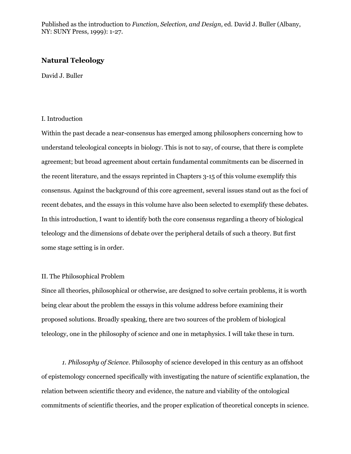Published as the introduction to *Function, Selection, and Design*, ed. David J. Buller (Albany, NY: SUNY Press, 1999): 1-27.

# **Natural Teleology**

David J. Buller

## I. Introduction

Within the past decade a near-consensus has emerged among philosophers concerning how to understand teleological concepts in biology. This is not to say, of course, that there is complete agreement; but broad agreement about certain fundamental commitments can be discerned in the recent literature, and the essays reprinted in Chapters 3-15 of this volume exemplify this consensus. Against the background of this core agreement, several issues stand out as the foci of recent debates, and the essays in this volume have also been selected to exemplify these debates. In this introduction, I want to identify both the core consensus regarding a theory of biological teleology and the dimensions of debate over the peripheral details of such a theory. But first some stage setting is in order.

# II. The Philosophical Problem

Since all theories, philosophical or otherwise, are designed to solve certain problems, it is worth being clear about the problem the essays in this volume address before examining their proposed solutions. Broadly speaking, there are two sources of the problem of biological teleology, one in the philosophy of science and one in metaphysics. I will take these in turn.

*1. Philosophy of Science*. Philosophy of science developed in this century as an offshoot of epistemology concerned specifically with investigating the nature of scientific explanation, the relation between scientific theory and evidence, the nature and viability of the ontological commitments of scientific theories, and the proper explication of theoretical concepts in science.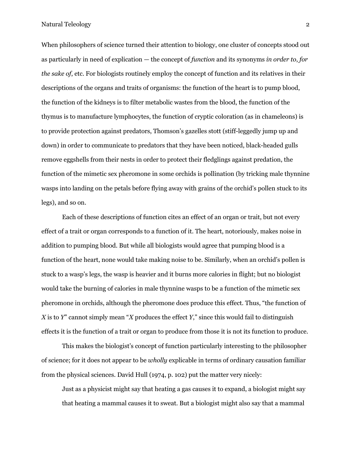When philosophers of science turned their attention to biology, one cluster of concepts stood out as particularly in need of explication — the concept of *function* and its synonyms *in order to*, *for the sake of*, etc. For biologists routinely employ the concept of function and its relatives in their descriptions of the organs and traits of organisms: the function of the heart is to pump blood, the function of the kidneys is to filter metabolic wastes from the blood, the function of the thymus is to manufacture lymphocytes, the function of cryptic coloration (as in chameleons) is to provide protection against predators, Thomson's gazelles stott (stiff-leggedly jump up and down) in order to communicate to predators that they have been noticed, black-headed gulls remove eggshells from their nests in order to protect their fledglings against predation, the function of the mimetic sex pheromone in some orchids is pollination (by tricking male thynnine wasps into landing on the petals before flying away with grains of the orchid's pollen stuck to its legs), and so on.

Each of these descriptions of function cites an effect of an organ or trait, but not every effect of a trait or organ corresponds to a function of it. The heart, notoriously, makes noise in addition to pumping blood. But while all biologists would agree that pumping blood is a function of the heart, none would take making noise to be. Similarly, when an orchid's pollen is stuck to a wasp's legs, the wasp is heavier and it burns more calories in flight; but no biologist would take the burning of calories in male thynnine wasps to be a function of the mimetic sex pheromone in orchids, although the pheromone does produce this effect. Thus, "the function of *X* is to *Y*" cannot simply mean "*X* produces the effect *Y*," since this would fail to distinguish effects it is the function of a trait or organ to produce from those it is not its function to produce.

This makes the biologist's concept of function particularly interesting to the philosopher of science; for it does not appear to be *wholly* explicable in terms of ordinary causation familiar from the physical sciences. David Hull (1974, p. 102) put the matter very nicely:

Just as a physicist might say that heating a gas causes it to expand, a biologist might say that heating a mammal causes it to sweat. But a biologist might also say that a mammal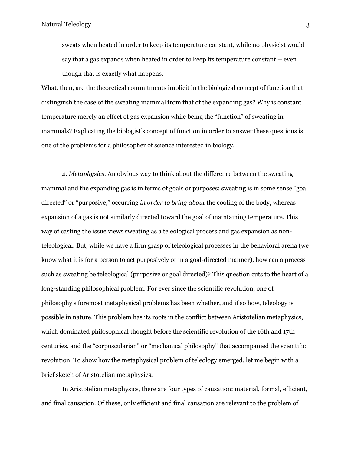sweats when heated in order to keep its temperature constant, while no physicist would say that a gas expands when heated in order to keep its temperature constant -- even though that is exactly what happens.

What, then, are the theoretical commitments implicit in the biological concept of function that distinguish the case of the sweating mammal from that of the expanding gas? Why is constant temperature merely an effect of gas expansion while being the "function" of sweating in mammals? Explicating the biologist's concept of function in order to answer these questions is one of the problems for a philosopher of science interested in biology.

*2. Metaphysics*. An obvious way to think about the difference between the sweating mammal and the expanding gas is in terms of goals or purposes: sweating is in some sense "goal directed" or "purposive," occurring *in order to bring about* the cooling of the body, whereas expansion of a gas is not similarly directed toward the goal of maintaining temperature. This way of casting the issue views sweating as a teleological process and gas expansion as nonteleological. But, while we have a firm grasp of teleological processes in the behavioral arena (we know what it is for a person to act purposively or in a goal-directed manner), how can a process such as sweating be teleological (purposive or goal directed)? This question cuts to the heart of a long-standing philosophical problem. For ever since the scientific revolution, one of philosophy's foremost metaphysical problems has been whether, and if so how, teleology is possible in nature. This problem has its roots in the conflict between Aristotelian metaphysics, which dominated philosophical thought before the scientific revolution of the 16th and 17th centuries, and the "corpuscularian" or "mechanical philosophy" that accompanied the scientific revolution. To show how the metaphysical problem of teleology emerged, let me begin with a brief sketch of Aristotelian metaphysics.

In Aristotelian metaphysics, there are four types of causation: material, formal, efficient, and final causation. Of these, only efficient and final causation are relevant to the problem of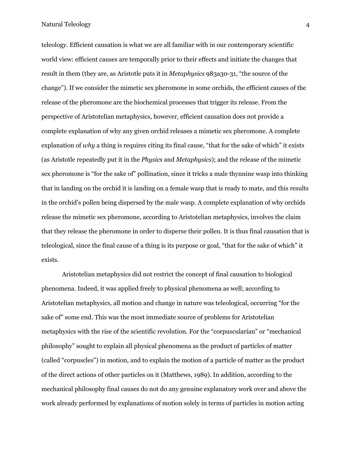teleology. Efficient causation is what we are all familiar with in our contemporary scientific world view: efficient causes are temporally prior to their effects and initiate the changes that result in them (they are, as Aristotle puts it in *Metaphysics* 983a30-31, "the source of the change"). If we consider the mimetic sex pheromone in some orchids, the efficient causes of the release of the pheromone are the biochemical processes that trigger its release. From the perspective of Aristotelian metaphysics, however, efficient causation does not provide a complete explanation of why any given orchid releases a mimetic sex pheromone. A complete explanation of *why* a thing is requires citing its final cause, "that for the sake of which" it exists (as Aristotle repeatedly put it in the *Physics* and *Metaphysics*); and the release of the mimetic sex pheromone is "for the sake of" pollination, since it tricks a male thynnine wasp into thinking that in landing on the orchid it is landing on a female wasp that is ready to mate, and this results in the orchid's pollen being dispersed by the male wasp. A complete explanation of why orchids release the mimetic sex pheromone, according to Aristotelian metaphysics, involves the claim that they release the pheromone in order to disperse their pollen. It is thus final causation that is teleological, since the final cause of a thing is its purpose or goal, "that for the sake of which" it exists.

Aristotelian metaphysics did not restrict the concept of final causation to biological phenomena. Indeed, it was applied freely to physical phenomena as well; according to Aristotelian metaphysics, all motion and change in nature was teleological, occurring "for the sake of" some end. This was the most immediate source of problems for Aristotelian metaphysics with the rise of the scientific revolution. For the "corpuscularian" or "mechanical philosophy" sought to explain all physical phenomena as the product of particles of matter (called "corpuscles") in motion, and to explain the motion of a particle of matter as the product of the direct actions of other particles on it (Matthews, 1989). In addition, according to the mechanical philosophy final causes do not do any genuine explanatory work over and above the work already performed by explanations of motion solely in terms of particles in motion acting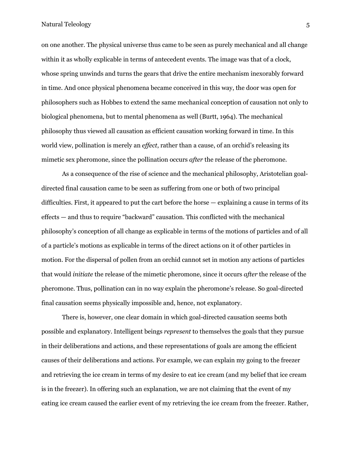on one another. The physical universe thus came to be seen as purely mechanical and all change within it as wholly explicable in terms of antecedent events. The image was that of a clock, whose spring unwinds and turns the gears that drive the entire mechanism inexorably forward in time. And once physical phenomena became conceived in this way, the door was open for philosophers such as Hobbes to extend the same mechanical conception of causation not only to biological phenomena, but to mental phenomena as well (Burtt, 1964). The mechanical philosophy thus viewed all causation as efficient causation working forward in time. In this world view, pollination is merely an *effect*, rather than a cause, of an orchid's releasing its mimetic sex pheromone, since the pollination occurs *after* the release of the pheromone.

As a consequence of the rise of science and the mechanical philosophy, Aristotelian goaldirected final causation came to be seen as suffering from one or both of two principal difficulties. First, it appeared to put the cart before the horse — explaining a cause in terms of its effects — and thus to require "backward" causation. This conflicted with the mechanical philosophy's conception of all change as explicable in terms of the motions of particles and of all of a particle's motions as explicable in terms of the direct actions on it of other particles in motion. For the dispersal of pollen from an orchid cannot set in motion any actions of particles that would *initiate* the release of the mimetic pheromone, since it occurs *after* the release of the pheromone. Thus, pollination can in no way explain the pheromone's release. So goal-directed final causation seems physically impossible and, hence, not explanatory.

There is, however, one clear domain in which goal-directed causation seems both possible and explanatory. Intelligent beings *represent* to themselves the goals that they pursue in their deliberations and actions, and these representations of goals are among the efficient causes of their deliberations and actions. For example, we can explain my going to the freezer and retrieving the ice cream in terms of my desire to eat ice cream (and my belief that ice cream is in the freezer). In offering such an explanation, we are not claiming that the event of my eating ice cream caused the earlier event of my retrieving the ice cream from the freezer. Rather,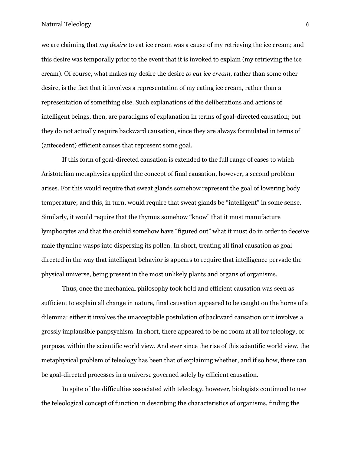we are claiming that *my desire* to eat ice cream was a cause of my retrieving the ice cream; and this desire was temporally prior to the event that it is invoked to explain (my retrieving the ice cream). Of course, what makes my desire the desire *to eat ice cream*, rather than some other desire, is the fact that it involves a representation of my eating ice cream, rather than a representation of something else. Such explanations of the deliberations and actions of intelligent beings, then, are paradigms of explanation in terms of goal-directed causation; but they do not actually require backward causation, since they are always formulated in terms of (antecedent) efficient causes that represent some goal.

If this form of goal-directed causation is extended to the full range of cases to which Aristotelian metaphysics applied the concept of final causation, however, a second problem arises. For this would require that sweat glands somehow represent the goal of lowering body temperature; and this, in turn, would require that sweat glands be "intelligent" in some sense. Similarly, it would require that the thymus somehow "know" that it must manufacture lymphocytes and that the orchid somehow have "figured out" what it must do in order to deceive male thynnine wasps into dispersing its pollen. In short, treating all final causation as goal directed in the way that intelligent behavior is appears to require that intelligence pervade the physical universe, being present in the most unlikely plants and organs of organisms.

Thus, once the mechanical philosophy took hold and efficient causation was seen as sufficient to explain all change in nature, final causation appeared to be caught on the horns of a dilemma: either it involves the unacceptable postulation of backward causation or it involves a grossly implausible panpsychism. In short, there appeared to be no room at all for teleology, or purpose, within the scientific world view. And ever since the rise of this scientific world view, the metaphysical problem of teleology has been that of explaining whether, and if so how, there can be goal-directed processes in a universe governed solely by efficient causation.

In spite of the difficulties associated with teleology, however, biologists continued to use the teleological concept of function in describing the characteristics of organisms, finding the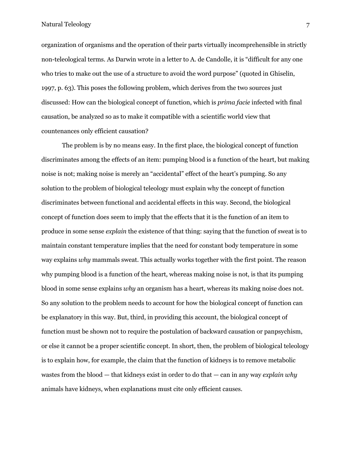organization of organisms and the operation of their parts virtually incomprehensible in strictly non-teleological terms. As Darwin wrote in a letter to A. de Candolle, it is "difficult for any one who tries to make out the use of a structure to avoid the word purpose" (quoted in Ghiselin, 1997, p. 63). This poses the following problem, which derives from the two sources just discussed: How can the biological concept of function, which is *prima facie* infected with final causation, be analyzed so as to make it compatible with a scientific world view that countenances only efficient causation?

The problem is by no means easy. In the first place, the biological concept of function discriminates among the effects of an item: pumping blood is a function of the heart, but making noise is not; making noise is merely an "accidental" effect of the heart's pumping. So any solution to the problem of biological teleology must explain why the concept of function discriminates between functional and accidental effects in this way. Second, the biological concept of function does seem to imply that the effects that it is the function of an item to produce in some sense *explain* the existence of that thing: saying that the function of sweat is to maintain constant temperature implies that the need for constant body temperature in some way explains *why* mammals sweat. This actually works together with the first point. The reason why pumping blood is a function of the heart, whereas making noise is not, is that its pumping blood in some sense explains *why* an organism has a heart, whereas its making noise does not. So any solution to the problem needs to account for how the biological concept of function can be explanatory in this way. But, third, in providing this account, the biological concept of function must be shown not to require the postulation of backward causation or panpsychism, or else it cannot be a proper scientific concept. In short, then, the problem of biological teleology is to explain how, for example, the claim that the function of kidneys is to remove metabolic wastes from the blood — that kidneys exist in order to do that — can in any way *explain why* animals have kidneys, when explanations must cite only efficient causes.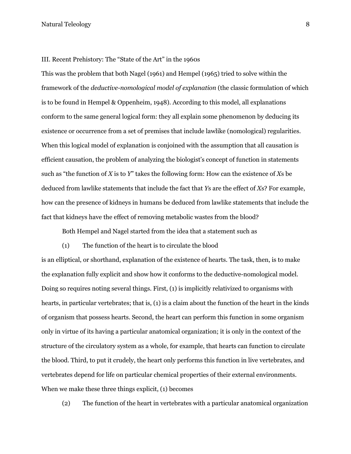### III. Recent Prehistory: The "State of the Art" in the 1960s

This was the problem that both Nagel (1961) and Hempel (1965) tried to solve within the framework of the *deductive-nomological model of explanation* (the classic formulation of which is to be found in Hempel & Oppenheim, 1948). According to this model, all explanations conform to the same general logical form: they all explain some phenomenon by deducing its existence or occurrence from a set of premises that include lawlike (nomological) regularities. When this logical model of explanation is conjoined with the assumption that all causation is efficient causation, the problem of analyzing the biologist's concept of function in statements such as "the function of *X* is to *Y*" takes the following form: How can the existence of *X*s be deduced from lawlike statements that include the fact that *Y*s are the effect of *X*s? For example, how can the presence of kidneys in humans be deduced from lawlike statements that include the fact that kidneys have the effect of removing metabolic wastes from the blood?

Both Hempel and Nagel started from the idea that a statement such as

(1) The function of the heart is to circulate the blood

is an elliptical, or shorthand, explanation of the existence of hearts. The task, then, is to make the explanation fully explicit and show how it conforms to the deductive-nomological model. Doing so requires noting several things. First, (1) is implicitly relativized to organisms with hearts, in particular vertebrates; that is, (1) is a claim about the function of the heart in the kinds of organism that possess hearts. Second, the heart can perform this function in some organism only in virtue of its having a particular anatomical organization; it is only in the context of the structure of the circulatory system as a whole, for example, that hearts can function to circulate the blood. Third, to put it crudely, the heart only performs this function in live vertebrates, and vertebrates depend for life on particular chemical properties of their external environments. When we make these three things explicit, (1) becomes

(2) The function of the heart in vertebrates with a particular anatomical organization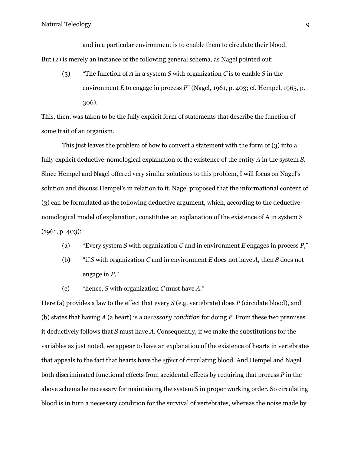and in a particular environment is to enable them to circulate their blood. But (2) is merely an instance of the following general schema, as Nagel pointed out:

(3) "The function of *A* in a system *S* with organization *C* is to enable *S* in the environment *E* to engage in process *P*" (Nagel, 1961, p. 403; cf. Hempel, 1965, p. 306).

This, then, was taken to be the fully explicit form of statements that describe the function of some trait of an organism.

This just leaves the problem of how to convert a statement with the form of (3) into a fully explicit deductive-nomological explanation of the existence of the entity *A* in the system *S*. Since Hempel and Nagel offered very similar solutions to this problem, I will focus on Nagel's solution and discuss Hempel's in relation to it. Nagel proposed that the informational content of (3) can be formulated as the following deductive argument, which, according to the deductivenomological model of explanation, constitutes an explanation of the existence of A in system S (1961, p. 403):

- (a) "Every system *S* with organization *C* and in environment *E* engages in process *P*,"
- (b) "if *S* with organization *C* and in environment *E* does not have *A*, then *S* does not engage in *P*,"
- (c) "hence, *S* with organization *C* must have *A*."

Here (a) provides a law to the effect that every *S* (e.g. vertebrate) does *P* (circulate blood), and (b) states that having *A* (a heart) is a *necessary condition* for doing *P*. From these two premises it deductively follows that *S* must have *A*. Consequently, if we make the substitutions for the variables as just noted, we appear to have an explanation of the existence of hearts in vertebrates that appeals to the fact that hearts have the *effect* of circulating blood. And Hempel and Nagel both discriminated functional effects from accidental effects by requiring that process *P* in the above schema be necessary for maintaining the system *S* in proper working order. So circulating blood is in turn a necessary condition for the survival of vertebrates, whereas the noise made by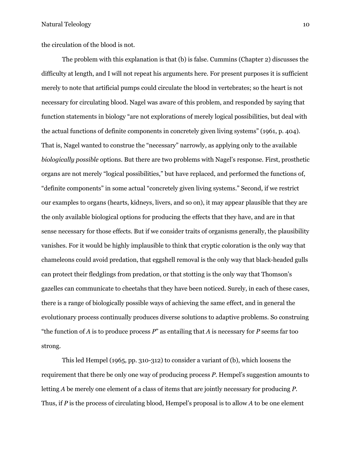the circulation of the blood is not.

The problem with this explanation is that (b) is false. Cummins (Chapter 2) discusses the difficulty at length, and I will not repeat his arguments here. For present purposes it is sufficient merely to note that artificial pumps could circulate the blood in vertebrates; so the heart is not necessary for circulating blood. Nagel was aware of this problem, and responded by saying that function statements in biology "are not explorations of merely logical possibilities, but deal with the actual functions of definite components in concretely given living systems" (1961, p. 404). That is, Nagel wanted to construe the "necessary" narrowly, as applying only to the available *biologically possible* options. But there are two problems with Nagel's response. First, prosthetic organs are not merely "logical possibilities," but have replaced, and performed the functions of, "definite components" in some actual "concretely given living systems." Second, if we restrict our examples to organs (hearts, kidneys, livers, and so on), it may appear plausible that they are the only available biological options for producing the effects that they have, and are in that sense necessary for those effects. But if we consider traits of organisms generally, the plausibility vanishes. For it would be highly implausible to think that cryptic coloration is the only way that chameleons could avoid predation, that eggshell removal is the only way that black-headed gulls can protect their fledglings from predation, or that stotting is the only way that Thomson's gazelles can communicate to cheetahs that they have been noticed. Surely, in each of these cases, there is a range of biologically possible ways of achieving the same effect, and in general the evolutionary process continually produces diverse solutions to adaptive problems. So construing "the function of *A* is to produce process *P*" as entailing that *A* is necessary for *P* seems far too strong.

This led Hempel (1965, pp. 310-312) to consider a variant of (b), which loosens the requirement that there be only one way of producing process *P*. Hempel's suggestion amounts to letting *A* be merely one element of a class of items that are jointly necessary for producing *P*. Thus, if *P* is the process of circulating blood, Hempel's proposal is to allow *A* to be one element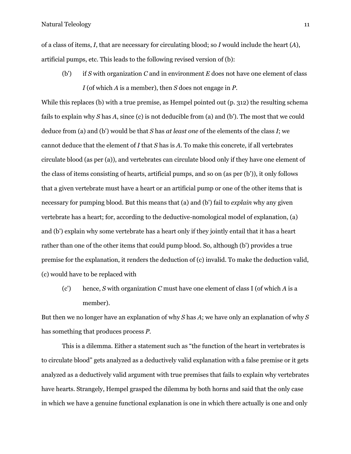of a class of items, *I*, that are necessary for circulating blood; so *I* would include the heart (*A*), artificial pumps, etc. This leads to the following revised version of (b):

(b') if *S* with organization *C* and in environment *E* does not have one element of class *I* (of which *A* is a member), then *S* does not engage in *P*.

While this replaces (b) with a true premise, as Hempel pointed out (p. 312) the resulting schema fails to explain why *S* has *A*, since (c) is not deducible from (a) and (b'). The most that we could deduce from (a) and (b') would be that *S* has *at least one* of the elements of the class *I*; we cannot deduce that the element of *I* that *S* has is *A*. To make this concrete, if all vertebrates circulate blood (as per (a)), and vertebrates can circulate blood only if they have one element of the class of items consisting of hearts, artificial pumps, and so on (as per (b')), it only follows that a given vertebrate must have a heart or an artificial pump or one of the other items that is necessary for pumping blood. But this means that (a) and (b') fail to *explain* why any given vertebrate has a heart; for, according to the deductive-nomological model of explanation, (a) and (b') explain why some vertebrate has a heart only if they jointly entail that it has a heart rather than one of the other items that could pump blood. So, although (b') provides a true premise for the explanation, it renders the deduction of (c) invalid. To make the deduction valid, (c) would have to be replaced with

(c') hence, *S* with organization *C* must have one element of class I (of which *A* is a member).

But then we no longer have an explanation of why *S* has *A*; we have only an explanation of why *S* has something that produces process *P*.

This is a dilemma. Either a statement such as "the function of the heart in vertebrates is to circulate blood" gets analyzed as a deductively valid explanation with a false premise or it gets analyzed as a deductively valid argument with true premises that fails to explain why vertebrates have hearts. Strangely, Hempel grasped the dilemma by both horns and said that the only case in which we have a genuine functional explanation is one in which there actually is one and only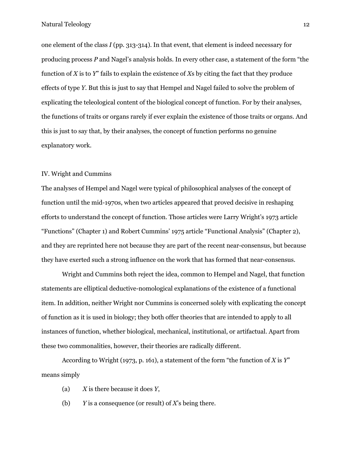one element of the class *I* (pp. 313-314). In that event, that element is indeed necessary for producing process *P* and Nagel's analysis holds. In every other case, a statement of the form "the function of *X* is to *Y*" fails to explain the existence of *X*s by citing the fact that they produce effects of type *Y*. But this is just to say that Hempel and Nagel failed to solve the problem of explicating the teleological content of the biological concept of function. For by their analyses, the functions of traits or organs rarely if ever explain the existence of those traits or organs. And this is just to say that, by their analyses, the concept of function performs no genuine explanatory work.

# IV. Wright and Cummins

The analyses of Hempel and Nagel were typical of philosophical analyses of the concept of function until the mid-1970s, when two articles appeared that proved decisive in reshaping efforts to understand the concept of function. Those articles were Larry Wright's 1973 article "Functions" (Chapter 1) and Robert Cummins' 1975 article "Functional Analysis" (Chapter 2), and they are reprinted here not because they are part of the recent near-consensus, but because they have exerted such a strong influence on the work that has formed that near-consensus.

Wright and Cummins both reject the idea, common to Hempel and Nagel, that function statements are elliptical deductive-nomological explanations of the existence of a functional item. In addition, neither Wright nor Cummins is concerned solely with explicating the concept of function as it is used in biology; they both offer theories that are intended to apply to all instances of function, whether biological, mechanical, institutional, or artifactual. Apart from these two commonalities, however, their theories are radically different.

According to Wright (1973, p. 161), a statement of the form "the function of *X* is *Y*" means simply

- (a) *X* is there because it does *Y*,
- (b) *Y* is a consequence (or result) of *X*'s being there.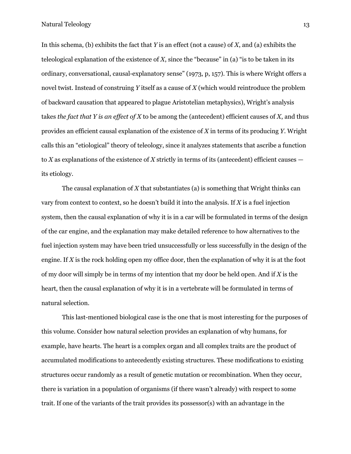In this schema, (b) exhibits the fact that *Y* is an effect (not a cause) of *X*, and (a) exhibits the teleological explanation of the existence of  $X$ , since the "because" in (a) "is to be taken in its ordinary, conversational, causal-explanatory sense" (1973, p, 157). This is where Wright offers a novel twist. Instead of construing *Y* itself as a cause of *X* (which would reintroduce the problem of backward causation that appeared to plague Aristotelian metaphysics), Wright's analysis takes *the fact that Y is an effect of X* to be among the (antecedent) efficient causes of *X*, and thus provides an efficient causal explanation of the existence of *X* in terms of its producing *Y*. Wright calls this an "etiological" theory of teleology, since it analyzes statements that ascribe a function to *X* as explanations of the existence of *X* strictly in terms of its (antecedent) efficient causes its etiology.

The causal explanation of *X* that substantiates (a) is something that Wright thinks can vary from context to context, so he doesn't build it into the analysis. If *X* is a fuel injection system, then the causal explanation of why it is in a car will be formulated in terms of the design of the car engine, and the explanation may make detailed reference to how alternatives to the fuel injection system may have been tried unsuccessfully or less successfully in the design of the engine. If *X* is the rock holding open my office door, then the explanation of why it is at the foot of my door will simply be in terms of my intention that my door be held open. And if *X* is the heart, then the causal explanation of why it is in a vertebrate will be formulated in terms of natural selection.

This last-mentioned biological case is the one that is most interesting for the purposes of this volume. Consider how natural selection provides an explanation of why humans, for example, have hearts. The heart is a complex organ and all complex traits are the product of accumulated modifications to antecedently existing structures. These modifications to existing structures occur randomly as a result of genetic mutation or recombination. When they occur, there is variation in a population of organisms (if there wasn't already) with respect to some trait. If one of the variants of the trait provides its possessor(s) with an advantage in the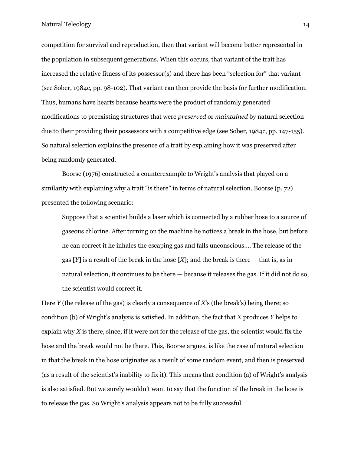competition for survival and reproduction, then that variant will become better represented in the population in subsequent generations. When this occurs, that variant of the trait has increased the relative fitness of its possessor(s) and there has been "selection for" that variant (see Sober, 1984c, pp. 98-102). That variant can then provide the basis for further modification. Thus, humans have hearts because hearts were the product of randomly generated modifications to preexisting structures that were *preserved* or *maintained* by natural selection due to their providing their possessors with a competitive edge (see Sober, 1984c, pp. 147-155). So natural selection explains the presence of a trait by explaining how it was preserved after being randomly generated.

Boorse (1976) constructed a counterexample to Wright's analysis that played on a similarity with explaining why a trait "is there" in terms of natural selection. Boorse (p. 72) presented the following scenario:

Suppose that a scientist builds a laser which is connected by a rubber hose to a source of gaseous chlorine. After turning on the machine he notices a break in the hose, but before he can correct it he inhales the escaping gas and falls unconscious.... The release of the gas [*Y*] is a result of the break in the hose [*X*]; and the break is there — that is, as in natural selection, it continues to be there — because it releases the gas. If it did not do so, the scientist would correct it.

Here *Y* (the release of the gas) is clearly a consequence of *X*'s (the break's) being there; so condition (b) of Wright's analysis is satisfied. In addition, the fact that *X* produces *Y* helps to explain why *X* is there, since, if it were not for the release of the gas, the scientist would fix the hose and the break would not be there. This, Boorse argues, is like the case of natural selection in that the break in the hose originates as a result of some random event, and then is preserved (as a result of the scientist's inability to fix it). This means that condition (a) of Wright's analysis is also satisfied. But we surely wouldn't want to say that the function of the break in the hose is to release the gas. So Wright's analysis appears not to be fully successful.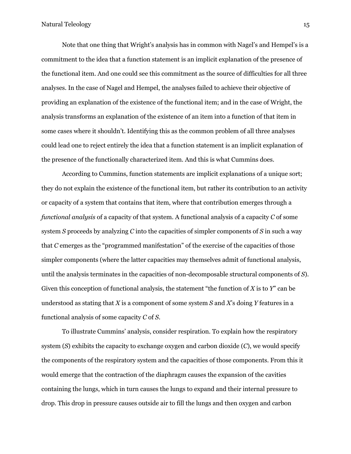Note that one thing that Wright's analysis has in common with Nagel's and Hempel's is a commitment to the idea that a function statement is an implicit explanation of the presence of the functional item. And one could see this commitment as the source of difficulties for all three analyses. In the case of Nagel and Hempel, the analyses failed to achieve their objective of providing an explanation of the existence of the functional item; and in the case of Wright, the analysis transforms an explanation of the existence of an item into a function of that item in some cases where it shouldn't. Identifying this as the common problem of all three analyses could lead one to reject entirely the idea that a function statement is an implicit explanation of the presence of the functionally characterized item. And this is what Cummins does.

According to Cummins, function statements are implicit explanations of a unique sort; they do not explain the existence of the functional item, but rather its contribution to an activity or capacity of a system that contains that item, where that contribution emerges through a *functional analysis* of a capacity of that system. A functional analysis of a capacity *C* of some system *S* proceeds by analyzing *C* into the capacities of simpler components of *S* in such a way that *C* emerges as the "programmed manifestation" of the exercise of the capacities of those simpler components (where the latter capacities may themselves admit of functional analysis, until the analysis terminates in the capacities of non-decomposable structural components of *S*). Given this conception of functional analysis, the statement "the function of *X* is to *Y*" can be understood as stating that *X* is a component of some system *S* and *X*'s doing *Y* features in a functional analysis of some capacity *C* of *S*.

To illustrate Cummins' analysis, consider respiration. To explain how the respiratory system (*S*) exhibits the capacity to exchange oxygen and carbon dioxide (*C*), we would specify the components of the respiratory system and the capacities of those components. From this it would emerge that the contraction of the diaphragm causes the expansion of the cavities containing the lungs, which in turn causes the lungs to expand and their internal pressure to drop. This drop in pressure causes outside air to fill the lungs and then oxygen and carbon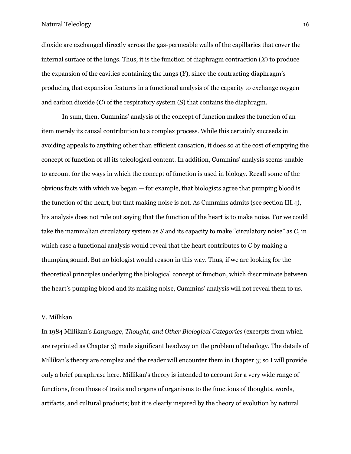dioxide are exchanged directly across the gas-permeable walls of the capillaries that cover the internal surface of the lungs. Thus, it is the function of diaphragm contraction (*X*) to produce the expansion of the cavities containing the lungs (*Y*), since the contracting diaphragm's producing that expansion features in a functional analysis of the capacity to exchange oxygen and carbon dioxide (*C*) of the respiratory system (*S*) that contains the diaphragm.

In sum, then, Cummins' analysis of the concept of function makes the function of an item merely its causal contribution to a complex process. While this certainly succeeds in avoiding appeals to anything other than efficient causation, it does so at the cost of emptying the concept of function of all its teleological content. In addition, Cummins' analysis seems unable to account for the ways in which the concept of function is used in biology. Recall some of the obvious facts with which we began — for example, that biologists agree that pumping blood is the function of the heart, but that making noise is not. As Cummins admits (see section III.4), his analysis does not rule out saying that the function of the heart is to make noise. For we could take the mammalian circulatory system as *S* and its capacity to make "circulatory noise" as *C*, in which case a functional analysis would reveal that the heart contributes to *C* by making a thumping sound. But no biologist would reason in this way. Thus, if we are looking for the theoretical principles underlying the biological concept of function, which discriminate between the heart's pumping blood and its making noise, Cummins' analysis will not reveal them to us.

# V. Millikan

In 1984 Millikan's *Language, Thought, and Other Biological Categories* (excerpts from which are reprinted as Chapter 3) made significant headway on the problem of teleology. The details of Millikan's theory are complex and the reader will encounter them in Chapter 3; so I will provide only a brief paraphrase here. Millikan's theory is intended to account for a very wide range of functions, from those of traits and organs of organisms to the functions of thoughts, words, artifacts, and cultural products; but it is clearly inspired by the theory of evolution by natural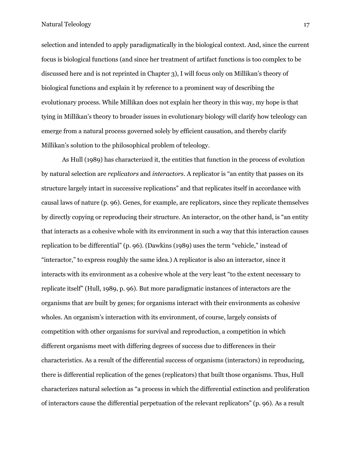selection and intended to apply paradigmatically in the biological context. And, since the current focus is biological functions (and since her treatment of artifact functions is too complex to be discussed here and is not reprinted in Chapter 3), I will focus only on Millikan's theory of biological functions and explain it by reference to a prominent way of describing the evolutionary process. While Millikan does not explain her theory in this way, my hope is that tying in Millikan's theory to broader issues in evolutionary biology will clarify how teleology can emerge from a natural process governed solely by efficient causation, and thereby clarify Millikan's solution to the philosophical problem of teleology.

As Hull (1989) has characterized it, the entities that function in the process of evolution by natural selection are *replicators* and *interactors*. A replicator is "an entity that passes on its structure largely intact in successive replications" and that replicates itself in accordance with causal laws of nature (p. 96). Genes, for example, are replicators, since they replicate themselves by directly copying or reproducing their structure. An interactor, on the other hand, is "an entity that interacts as a cohesive whole with its environment in such a way that this interaction causes replication to be differential" (p. 96). (Dawkins (1989) uses the term "vehicle," instead of "interactor," to express roughly the same idea.) A replicator is also an interactor, since it interacts with its environment as a cohesive whole at the very least "to the extent necessary to replicate itself" (Hull, 1989, p. 96). But more paradigmatic instances of interactors are the organisms that are built by genes; for organisms interact with their environments as cohesive wholes. An organism's interaction with its environment, of course, largely consists of competition with other organisms for survival and reproduction, a competition in which different organisms meet with differing degrees of success due to differences in their characteristics. As a result of the differential success of organisms (interactors) in reproducing, there is differential replication of the genes (replicators) that built those organisms. Thus, Hull characterizes natural selection as "a process in which the differential extinction and proliferation of interactors cause the differential perpetuation of the relevant replicators" (p. 96). As a result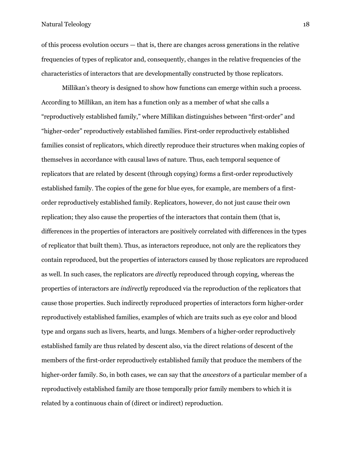of this process evolution occurs — that is, there are changes across generations in the relative frequencies of types of replicator and, consequently, changes in the relative frequencies of the characteristics of interactors that are developmentally constructed by those replicators.

Millikan's theory is designed to show how functions can emerge within such a process. According to Millikan, an item has a function only as a member of what she calls a "reproductively established family," where Millikan distinguishes between "first-order" and "higher-order" reproductively established families. First-order reproductively established families consist of replicators, which directly reproduce their structures when making copies of themselves in accordance with causal laws of nature. Thus, each temporal sequence of replicators that are related by descent (through copying) forms a first-order reproductively established family. The copies of the gene for blue eyes, for example, are members of a firstorder reproductively established family. Replicators, however, do not just cause their own replication; they also cause the properties of the interactors that contain them (that is, differences in the properties of interactors are positively correlated with differences in the types of replicator that built them). Thus, as interactors reproduce, not only are the replicators they contain reproduced, but the properties of interactors caused by those replicators are reproduced as well. In such cases, the replicators are *directly* reproduced through copying, whereas the properties of interactors are *indirectly* reproduced via the reproduction of the replicators that cause those properties. Such indirectly reproduced properties of interactors form higher-order reproductively established families, examples of which are traits such as eye color and blood type and organs such as livers, hearts, and lungs. Members of a higher-order reproductively established family are thus related by descent also, via the direct relations of descent of the members of the first-order reproductively established family that produce the members of the higher-order family. So, in both cases, we can say that the *ancestors* of a particular member of a reproductively established family are those temporally prior family members to which it is related by a continuous chain of (direct or indirect) reproduction.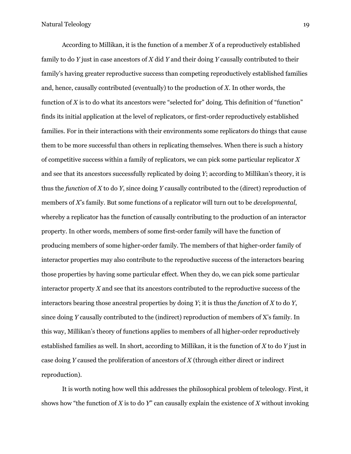According to Millikan, it is the function of a member *X* of a reproductively established family to do *Y* just in case ancestors of *X* did *Y* and their doing *Y* causally contributed to their family's having greater reproductive success than competing reproductively established families and, hence, causally contributed (eventually) to the production of *X*. In other words, the function of *X* is to do what its ancestors were "selected for" doing. This definition of "function" finds its initial application at the level of replicators, or first-order reproductively established families. For in their interactions with their environments some replicators do things that cause them to be more successful than others in replicating themselves. When there is such a history of competitive success within a family of replicators, we can pick some particular replicator *X* and see that its ancestors successfully replicated by doing *Y*; according to Millikan's theory, it is thus the *function* of *X* to do *Y*, since doing *Y* causally contributed to the (direct) reproduction of members of *X*'s family. But some functions of a replicator will turn out to be *developmental*, whereby a replicator has the function of causally contributing to the production of an interactor property. In other words, members of some first-order family will have the function of producing members of some higher-order family. The members of that higher-order family of interactor properties may also contribute to the reproductive success of the interactors bearing those properties by having some particular effect. When they do, we can pick some particular interactor property *X* and see that its ancestors contributed to the reproductive success of the interactors bearing those ancestral properties by doing *Y*; it is thus the *function* of *X* to do *Y*, since doing *Y* causally contributed to the (indirect) reproduction of members of X's family. In this way, Millikan's theory of functions applies to members of all higher-order reproductively established families as well. In short, according to Millikan, it is the function of *X* to do *Y* just in case doing *Y* caused the proliferation of ancestors of *X* (through either direct or indirect reproduction).

It is worth noting how well this addresses the philosophical problem of teleology. First, it shows how "the function of *X* is to do *Y*" can causally explain the existence of *X* without invoking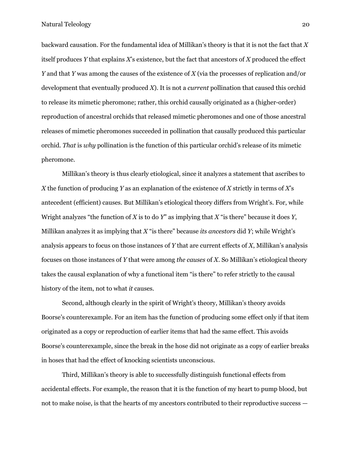backward causation. For the fundamental idea of Millikan's theory is that it is not the fact that *X* itself produces *Y* that explains *X*'s existence, but the fact that ancestors of *X* produced the effect *Y* and that *Y* was among the causes of the existence of *X* (via the processes of replication and/or development that eventually produced *X*). It is not a *current* pollination that caused this orchid to release its mimetic pheromone; rather, this orchid causally originated as a (higher-order) reproduction of ancestral orchids that released mimetic pheromones and one of those ancestral releases of mimetic pheromones succeeded in pollination that causally produced this particular orchid. *That* is *why* pollination is the function of this particular orchid's release of its mimetic pheromone.

Millikan's theory is thus clearly etiological, since it analyzes a statement that ascribes to *X* the function of producing *Y* as an explanation of the existence of *X* strictly in terms of *X*'s antecedent (efficient) causes. But Millikan's etiological theory differs from Wright's. For, while Wright analyzes "the function of *X* is to do *Y*" as implying that *X* "is there" because it does *Y*, Millikan analyzes it as implying that *X* "is there" because *its ancestors* did *Y*; while Wright's analysis appears to focus on those instances of *Y* that are current effects of *X*, Millikan's analysis focuses on those instances of *Y* that were among *the causes* of *X*. So Millikan's etiological theory takes the causal explanation of why a functional item "is there" to refer strictly to the causal history of the item, not to what *it* causes.

Second, although clearly in the spirit of Wright's theory, Millikan's theory avoids Boorse's counterexample. For an item has the function of producing some effect only if that item originated as a copy or reproduction of earlier items that had the same effect. This avoids Boorse's counterexample, since the break in the hose did not originate as a copy of earlier breaks in hoses that had the effect of knocking scientists unconscious.

Third, Millikan's theory is able to successfully distinguish functional effects from accidental effects. For example, the reason that it is the function of my heart to pump blood, but not to make noise, is that the hearts of my ancestors contributed to their reproductive success —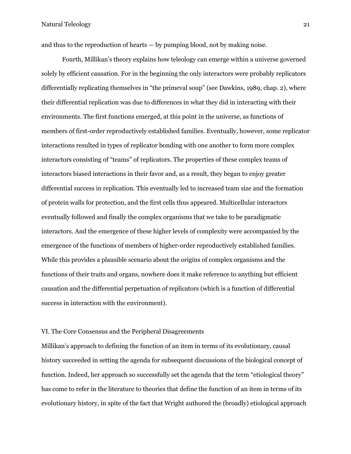and thus to the reproduction of hearts — by pumping blood, not by making noise.

Fourth, Millikan's theory explains how teleology can emerge within a universe governed solely by efficient causation. For in the beginning the only interactors were probably replicators differentially replicating themselves in "the primeval soup" (see Dawkins, 1989, chap. 2), where their differential replication was due to differences in what they did in interacting with their environments. The first functions emerged, at this point in the universe, as functions of members of first-order reproductively established families. Eventually, however, some replicator interactions resulted in types of replicator bonding with one another to form more complex interactors consisting of "teams" of replicators. The properties of these complex teams of interactors biased interactions in their favor and, as a result, they began to enjoy greater differential success in replication. This eventually led to increased team size and the formation of protein walls for protection, and the first cells thus appeared. Multicellular interactors eventually followed and finally the complex organisms that we take to be paradigmatic interactors. And the emergence of these higher levels of complexity were accompanied by the emergence of the functions of members of higher-order reproductively established families. While this provides a plausible scenario about the origins of complex organisms and the functions of their traits and organs, nowhere does it make reference to anything but efficient causation and the differential perpetuation of replicators (which is a function of differential success in interaction with the environment).

## VI. The Core Consensus and the Peripheral Disagreements

Millikan's approach to defining the function of an item in terms of its evolutionary, causal history succeeded in setting the agenda for subsequent discussions of the biological concept of function. Indeed, her approach so successfully set the agenda that the term "etiological theory" has come to refer in the literature to theories that define the function of an item in terms of its evolutionary history, in spite of the fact that Wright authored the (broadly) etiological approach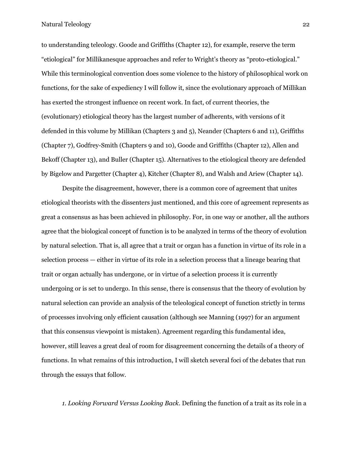to understanding teleology. Goode and Griffiths (Chapter 12), for example, reserve the term "etiological" for Millikanesque approaches and refer to Wright's theory as "proto-etiological." While this terminological convention does some violence to the history of philosophical work on functions, for the sake of expediency I will follow it, since the evolutionary approach of Millikan has exerted the strongest influence on recent work. In fact, of current theories, the (evolutionary) etiological theory has the largest number of adherents, with versions of it defended in this volume by Millikan (Chapters 3 and 5), Neander (Chapters 6 and 11), Griffiths (Chapter 7), Godfrey-Smith (Chapters 9 and 10), Goode and Griffiths (Chapter 12), Allen and Bekoff (Chapter 13), and Buller (Chapter 15). Alternatives to the etiological theory are defended by Bigelow and Pargetter (Chapter 4), Kitcher (Chapter 8), and Walsh and Ariew (Chapter 14).

Despite the disagreement, however, there is a common core of agreement that unites etiological theorists with the dissenters just mentioned, and this core of agreement represents as great a consensus as has been achieved in philosophy. For, in one way or another, all the authors agree that the biological concept of function is to be analyzed in terms of the theory of evolution by natural selection. That is, all agree that a trait or organ has a function in virtue of its role in a selection process — either in virtue of its role in a selection process that a lineage bearing that trait or organ actually has undergone, or in virtue of a selection process it is currently undergoing or is set to undergo. In this sense, there is consensus that the theory of evolution by natural selection can provide an analysis of the teleological concept of function strictly in terms of processes involving only efficient causation (although see Manning (1997) for an argument that this consensus viewpoint is mistaken). Agreement regarding this fundamental idea, however, still leaves a great deal of room for disagreement concerning the details of a theory of functions. In what remains of this introduction, I will sketch several foci of the debates that run through the essays that follow.

*1. Looking Forward Versus Looking Back*. Defining the function of a trait as its role in a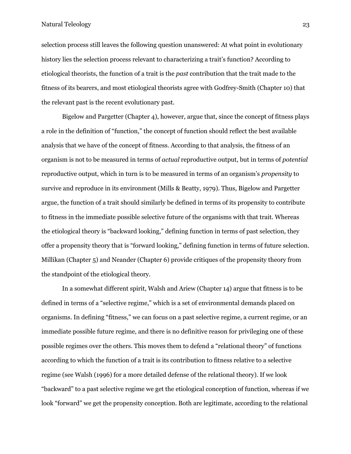selection process still leaves the following question unanswered: At what point in evolutionary history lies the selection process relevant to characterizing a trait's function? According to etiological theorists, the function of a trait is the *past* contribution that the trait made to the fitness of its bearers, and most etiological theorists agree with Godfrey-Smith (Chapter 10) that the relevant past is the recent evolutionary past.

Bigelow and Pargetter (Chapter 4), however, argue that, since the concept of fitness plays a role in the definition of "function," the concept of function should reflect the best available analysis that we have of the concept of fitness. According to that analysis, the fitness of an organism is not to be measured in terms of *actual* reproductive output, but in terms of *potential* reproductive output, which in turn is to be measured in terms of an organism's *propensity* to survive and reproduce in its environment (Mills & Beatty, 1979). Thus, Bigelow and Pargetter argue, the function of a trait should similarly be defined in terms of its propensity to contribute to fitness in the immediate possible selective future of the organisms with that trait. Whereas the etiological theory is "backward looking," defining function in terms of past selection, they offer a propensity theory that is "forward looking," defining function in terms of future selection. Millikan (Chapter 5) and Neander (Chapter 6) provide critiques of the propensity theory from the standpoint of the etiological theory.

In a somewhat different spirit, Walsh and Ariew (Chapter 14) argue that fitness is to be defined in terms of a "selective regime," which is a set of environmental demands placed on organisms. In defining "fitness," we can focus on a past selective regime, a current regime, or an immediate possible future regime, and there is no definitive reason for privileging one of these possible regimes over the others. This moves them to defend a "relational theory" of functions according to which the function of a trait is its contribution to fitness relative to a selective regime (see Walsh (1996) for a more detailed defense of the relational theory). If we look "backward" to a past selective regime we get the etiological conception of function, whereas if we look "forward" we get the propensity conception. Both are legitimate, according to the relational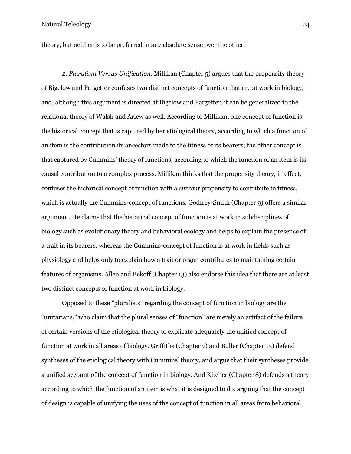theory, but neither is to be preferred in any absolute sense over the other.

*2. Pluralism Versus Unification*. Millikan (Chapter 5) argues that the propensity theory of Bigelow and Pargetter confuses two distinct concepts of function that are at work in biology; and, although this argument is directed at Bigelow and Pargetter, it can be generalized to the relational theory of Walsh and Ariew as well. According to Millikan, one concept of function is the historical concept that is captured by her etiological theory, according to which a function of an item is the contribution its ancestors made to the fitness of its bearers; the other concept is that captured by Cummins' theory of functions, according to which the function of an item is its causal contribution to a complex process. Millikan thinks that the propensity theory, in effect, confuses the historical concept of function with a *current* propensity to contribute to fitness, which is actually the Cummins-concept of functions. Godfrey-Smith (Chapter 9) offers a similar argument. He claims that the historical concept of function is at work in subdisciplines of biology such as evolutionary theory and behavioral ecology and helps to explain the presence of a trait in its bearers, whereas the Cummins-concept of function is at work in fields such as physiology and helps only to explain how a trait or organ contributes to maintaining certain features of organisms. Allen and Bekoff (Chapter 13) also endorse this idea that there are at least two distinct concepts of function at work in biology.

Opposed to these "pluralists" regarding the concept of function in biology are the "unitarians," who claim that the plural senses of "function" are merely an artifact of the failure of certain versions of the etiological theory to explicate adequately the unified concept of function at work in all areas of biology. Griffiths (Chapter 7) and Buller (Chapter 15) defend syntheses of the etiological theory with Cummins' theory, and argue that their syntheses provide a unified account of the concept of function in biology. And Kitcher (Chapter 8) defends a theory according to which the function of an item is what it is designed to do, arguing that the concept of design is capable of unifying the uses of the concept of function in all areas from behavioral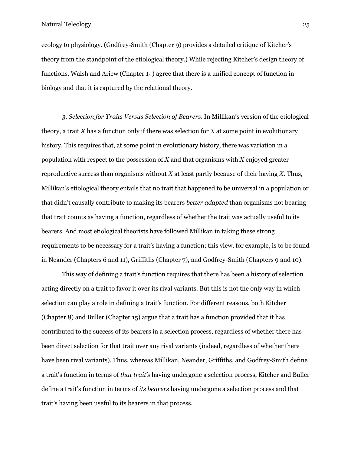ecology to physiology. (Godfrey-Smith (Chapter 9) provides a detailed critique of Kitcher's theory from the standpoint of the etiological theory.) While rejecting Kitcher's design theory of functions, Walsh and Ariew (Chapter 14) agree that there is a unified concept of function in biology and that it is captured by the relational theory.

*3. Selection for Traits Versus Selection of Bearers*. In Millikan's version of the etiological theory, a trait *X* has a function only if there was selection for *X* at some point in evolutionary history. This requires that, at some point in evolutionary history, there was variation in a population with respect to the possession of *X* and that organisms with *X* enjoyed greater reproductive success than organisms without *X* at least partly because of their having *X*. Thus, Millikan's etiological theory entails that no trait that happened to be universal in a population or that didn't causally contribute to making its bearers *better adapted* than organisms not bearing that trait counts as having a function, regardless of whether the trait was actually useful to its bearers. And most etiological theorists have followed Millikan in taking these strong requirements to be necessary for a trait's having a function; this view, for example, is to be found in Neander (Chapters 6 and 11), Griffiths (Chapter 7), and Godfrey-Smith (Chapters 9 and 10).

This way of defining a trait's function requires that there has been a history of selection acting directly on a trait to favor it over its rival variants. But this is not the only way in which selection can play a role in defining a trait's function. For different reasons, both Kitcher (Chapter 8) and Buller (Chapter 15) argue that a trait has a function provided that it has contributed to the success of its bearers in a selection process, regardless of whether there has been direct selection for that trait over any rival variants (indeed, regardless of whether there have been rival variants). Thus, whereas Millikan, Neander, Griffiths, and Godfrey-Smith define a trait's function in terms of *that trait's* having undergone a selection process, Kitcher and Buller define a trait's function in terms of *its bearers* having undergone a selection process and that trait's having been useful to its bearers in that process.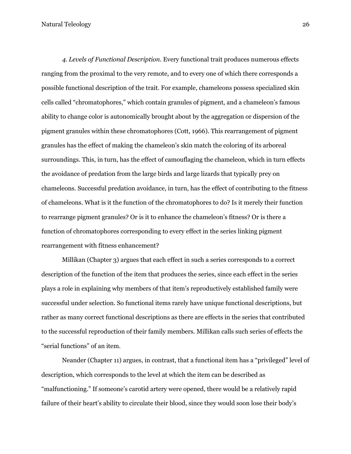*4. Levels of Functional Description*. Every functional trait produces numerous effects ranging from the proximal to the very remote, and to every one of which there corresponds a possible functional description of the trait. For example, chameleons possess specialized skin cells called "chromatophores," which contain granules of pigment, and a chameleon's famous ability to change color is autonomically brought about by the aggregation or dispersion of the pigment granules within these chromatophores (Cott, 1966). This rearrangement of pigment granules has the effect of making the chameleon's skin match the coloring of its arboreal surroundings. This, in turn, has the effect of camouflaging the chameleon, which in turn effects the avoidance of predation from the large birds and large lizards that typically prey on chameleons. Successful predation avoidance, in turn, has the effect of contributing to the fitness of chameleons. What is it the function of the chromatophores to do? Is it merely their function to rearrange pigment granules? Or is it to enhance the chameleon's fitness? Or is there a function of chromatophores corresponding to every effect in the series linking pigment rearrangement with fitness enhancement?

Millikan (Chapter 3) argues that each effect in such a series corresponds to a correct description of the function of the item that produces the series, since each effect in the series plays a role in explaining why members of that item's reproductively established family were successful under selection. So functional items rarely have unique functional descriptions, but rather as many correct functional descriptions as there are effects in the series that contributed to the successful reproduction of their family members. Millikan calls such series of effects the "serial functions" of an item.

Neander (Chapter 11) argues, in contrast, that a functional item has a "privileged" level of description, which corresponds to the level at which the item can be described as "malfunctioning." If someone's carotid artery were opened, there would be a relatively rapid failure of their heart's ability to circulate their blood, since they would soon lose their body's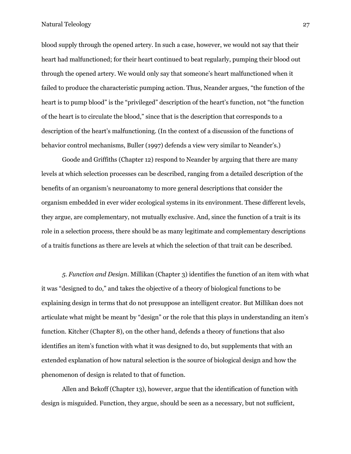blood supply through the opened artery. In such a case, however, we would not say that their heart had malfunctioned; for their heart continued to beat regularly, pumping their blood out through the opened artery. We would only say that someone's heart malfunctioned when it failed to produce the characteristic pumping action. Thus, Neander argues, "the function of the heart is to pump blood" is the "privileged" description of the heart's function, not "the function of the heart is to circulate the blood," since that is the description that corresponds to a description of the heart's malfunctioning. (In the context of a discussion of the functions of behavior control mechanisms, Buller (1997) defends a view very similar to Neander's.)

Goode and Griffiths (Chapter 12) respond to Neander by arguing that there are many levels at which selection processes can be described, ranging from a detailed description of the benefits of an organism's neuroanatomy to more general descriptions that consider the organism embedded in ever wider ecological systems in its environment. These different levels, they argue, are complementary, not mutually exclusive. And, since the function of a trait is its role in a selection process, there should be as many legitimate and complementary descriptions of a traitís functions as there are levels at which the selection of that trait can be described.

*5. Function and Design*. Millikan (Chapter 3) identifies the function of an item with what it was "designed to do," and takes the objective of a theory of biological functions to be explaining design in terms that do not presuppose an intelligent creator. But Millikan does not articulate what might be meant by "design" or the role that this plays in understanding an item's function. Kitcher (Chapter 8), on the other hand, defends a theory of functions that also identifies an item's function with what it was designed to do, but supplements that with an extended explanation of how natural selection is the source of biological design and how the phenomenon of design is related to that of function.

Allen and Bekoff (Chapter 13), however, argue that the identification of function with design is misguided. Function, they argue, should be seen as a necessary, but not sufficient,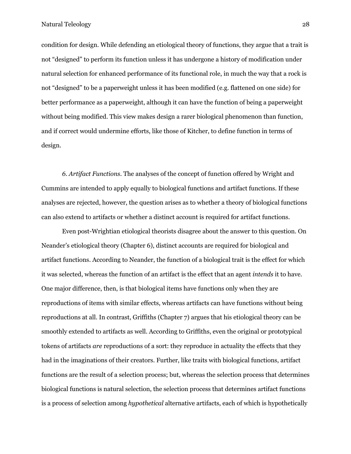condition for design. While defending an etiological theory of functions, they argue that a trait is not "designed" to perform its function unless it has undergone a history of modification under natural selection for enhanced performance of its functional role, in much the way that a rock is not "designed" to be a paperweight unless it has been modified (e.g. flattened on one side) for better performance as a paperweight, although it can have the function of being a paperweight without being modified. This view makes design a rarer biological phenomenon than function, and if correct would undermine efforts, like those of Kitcher, to define function in terms of design.

*6. Artifact Functions*. The analyses of the concept of function offered by Wright and Cummins are intended to apply equally to biological functions and artifact functions. If these analyses are rejected, however, the question arises as to whether a theory of biological functions can also extend to artifacts or whether a distinct account is required for artifact functions.

Even post-Wrightian etiological theorists disagree about the answer to this question. On Neander's etiological theory (Chapter 6), distinct accounts are required for biological and artifact functions. According to Neander, the function of a biological trait is the effect for which it was selected, whereas the function of an artifact is the effect that an agent *intends* it to have. One major difference, then, is that biological items have functions only when they are reproductions of items with similar effects, whereas artifacts can have functions without being reproductions at all. In contrast, Griffiths (Chapter 7) argues that his etiological theory can be smoothly extended to artifacts as well. According to Griffiths, even the original or prototypical tokens of artifacts *are* reproductions of a sort: they reproduce in actuality the effects that they had in the imaginations of their creators. Further, like traits with biological functions, artifact functions are the result of a selection process; but, whereas the selection process that determines biological functions is natural selection, the selection process that determines artifact functions is a process of selection among *hypothetical* alternative artifacts, each of which is hypothetically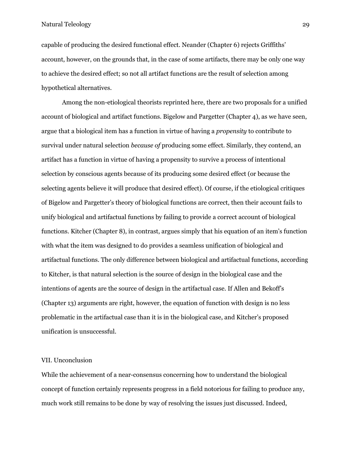capable of producing the desired functional effect. Neander (Chapter 6) rejects Griffiths' account, however, on the grounds that, in the case of some artifacts, there may be only one way to achieve the desired effect; so not all artifact functions are the result of selection among hypothetical alternatives.

Among the non-etiological theorists reprinted here, there are two proposals for a unified account of biological and artifact functions. Bigelow and Pargetter (Chapter 4), as we have seen, argue that a biological item has a function in virtue of having a *propensity* to contribute to survival under natural selection *because of* producing some effect. Similarly, they contend, an artifact has a function in virtue of having a propensity to survive a process of intentional selection by conscious agents because of its producing some desired effect (or because the selecting agents believe it will produce that desired effect). Of course, if the etiological critiques of Bigelow and Pargetter's theory of biological functions are correct, then their account fails to unify biological and artifactual functions by failing to provide a correct account of biological functions. Kitcher (Chapter 8), in contrast, argues simply that his equation of an item's function with what the item was designed to do provides a seamless unification of biological and artifactual functions. The only difference between biological and artifactual functions, according to Kitcher, is that natural selection is the source of design in the biological case and the intentions of agents are the source of design in the artifactual case. If Allen and Bekoff's (Chapter 13) arguments are right, however, the equation of function with design is no less problematic in the artifactual case than it is in the biological case, and Kitcher's proposed unification is unsuccessful.

## VII. Unconclusion

While the achievement of a near-consensus concerning how to understand the biological concept of function certainly represents progress in a field notorious for failing to produce any, much work still remains to be done by way of resolving the issues just discussed. Indeed,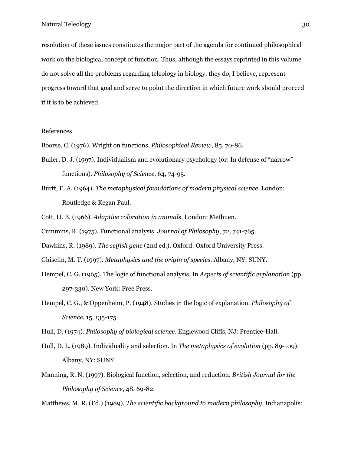resolution of these issues constitutes the major part of the agenda for continued philosophical work on the biological concept of function. Thus, although the essays reprinted in this volume do not solve all the problems regarding teleology in biology, they do, I believe, represent progress toward that goal and serve to point the direction in which future work should proceed if it is to be achieved.

### References

Boorse, C. (1976). Wright on functions. *Philosophical Review*, 85, 70-86.

- Buller, D. J. (1997). Individualism and evolutionary psychology (or: In defense of "narrow" functions). *Philosophy of Science*, 64, 74-95.
- Burtt, E. A. (1964). *The metaphysical foundations of modern physical science*. London: Routledge & Kegan Paul.
- Cott, H. B. (1966). *Adaptive coloration in animals*. London: Methuen.

Cummins, R. (1975). Functional analysis. *Journal of Philosophy*, 72, 741-765.

Dawkins, R. (1989). *The selfish gene* (2nd ed.). Oxford: Oxford University Press.

- Ghiselin, M. T. (1997). *Metaphysics and the origin of species*. Albany, NY: SUNY.
- Hempel, C. G. (1965). The logic of functional analysis. In *Aspects of scientific explanation* (pp. 297-330). New York: Free Press.
- Hempel, C. G., & Oppenheim, P. (1948). Studies in the logic of explanation. *Philosophy of Science*, 15, 135-175.

Hull, D. (1974). *Philosophy of biological science*. Englewood Cliffs, NJ: Prentice-Hall.

- Hull, D. L. (1989). Individuality and selection. In *The metaphysics of evolution* (pp. 89-109). Albany, NY: SUNY.
- Manning, R. N. (1997). Biological function, selection, and reduction. *British Journal for the Philosophy of Science*, 48, 69-82.

Matthews, M. R. (Ed.) (1989). *The scientific background to modern philosophy*. Indianapolis: